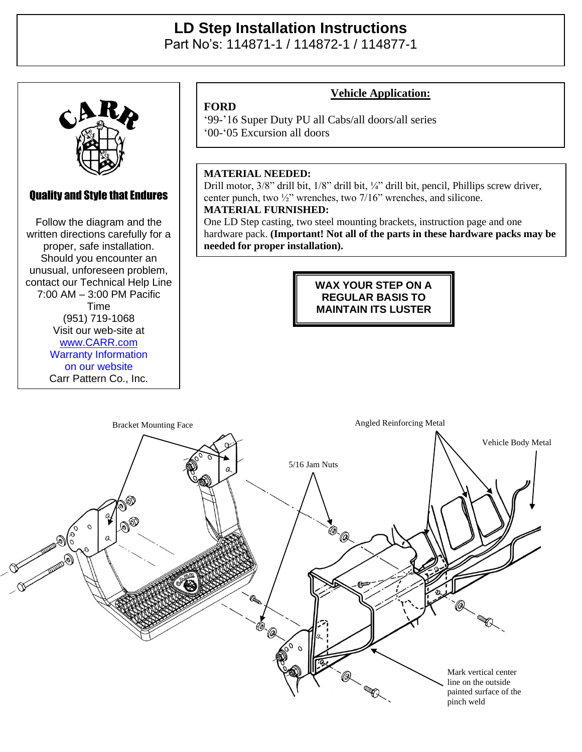# **LD Step Installation Instructions**

Part No's: 114871-1 / 114872-1 / 114877-1



## Quality and Style that Endures

Quality and Style that Endures Follow the diagram and the Follow the diagram and the written directions carefully for a written directions carefully for a proper, safe installation. proper, safe installation. Should you encounter an Should you encounter an unusual, unforeseen problem, unusual, unforeseen problem, contact our Technical Help Line contact our Technical Help Line  $2:00$  AM  $-2:00$  DM Pacific  $(7:00 \text{ AM} - 3:00 \text{ PM} \text{ Pacific})$  $V = 10111$ (951) 719-1068 Visit our web-site at Time [www.CARR.com](http://www.carr.com/) Warranty Information on our website Carr Pattern Co., Inc.

## **Vehicle Application:**

'99-'16 Super Duty PU all Cabs/all doors/all series '00-'05 Excursion all doors

#### **MATERIAL NEEDED:**

**FORD**

Drill motor, 3/8" drill bit, 1/8" drill bit, ¼" drill bit, pencil, Phillips screw driver, center punch, two ½" wrenches, two 7/16" wrenches, and silicone. **MATERIAL FURNISHED:**

One LD Step casting, two steel mounting brackets, instruction page and one hardware pack. **(Important! Not all of the parts in these hardware packs may be needed for proper installation).**